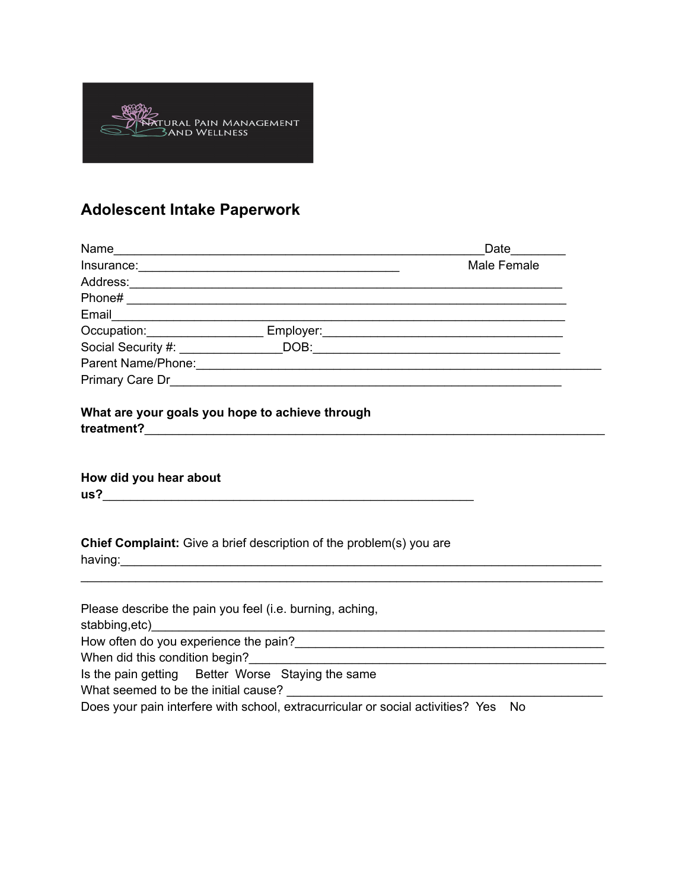

## **Adolescent Intake Paperwork**

|                                                                     | Date <u>Lite</u>                                                                                                                                                                                                                      |
|---------------------------------------------------------------------|---------------------------------------------------------------------------------------------------------------------------------------------------------------------------------------------------------------------------------------|
|                                                                     | Male Female                                                                                                                                                                                                                           |
|                                                                     |                                                                                                                                                                                                                                       |
|                                                                     |                                                                                                                                                                                                                                       |
|                                                                     |                                                                                                                                                                                                                                       |
|                                                                     |                                                                                                                                                                                                                                       |
|                                                                     |                                                                                                                                                                                                                                       |
|                                                                     |                                                                                                                                                                                                                                       |
|                                                                     |                                                                                                                                                                                                                                       |
| What are your goals you hope to achieve through                     |                                                                                                                                                                                                                                       |
| How did you hear about                                              |                                                                                                                                                                                                                                       |
| Chief Complaint: Give a brief description of the problem(s) you are |                                                                                                                                                                                                                                       |
| Please describe the pain you feel (i.e. burning, aching,            |                                                                                                                                                                                                                                       |
|                                                                     |                                                                                                                                                                                                                                       |
|                                                                     |                                                                                                                                                                                                                                       |
| Is the pain getting Better Worse Staying the same                   |                                                                                                                                                                                                                                       |
|                                                                     |                                                                                                                                                                                                                                       |
|                                                                     | $\mathbb{R}$ and the same contract of the same contract $\mathbb{R}$ is the same contract of the same contract of the same contract of the same contract of the same contract of the same contract of the same contract of the same c |

Does your pain interfere with school, extracurricular or social activities? Yes No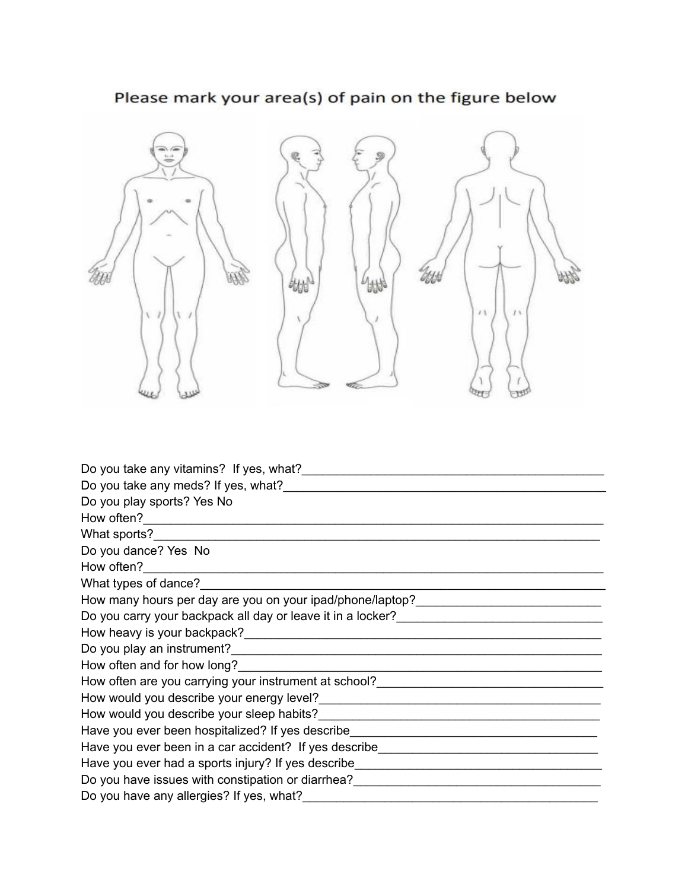

## Please mark your area(s) of pain on the figure below

| Do you take any vitamins? If yes, what?                                                                        |
|----------------------------------------------------------------------------------------------------------------|
| Do you take any meds? If yes, what?                                                                            |
| Do you play sports? Yes No                                                                                     |
|                                                                                                                |
|                                                                                                                |
| Do you dance? Yes No                                                                                           |
|                                                                                                                |
|                                                                                                                |
| How many hours per day are you on your ipad/phone/laptop?_______________________                               |
|                                                                                                                |
|                                                                                                                |
|                                                                                                                |
|                                                                                                                |
| How often are you carrying your instrument at school?<br>How often are you carrying your instrument at school? |
|                                                                                                                |
|                                                                                                                |
| Have you ever been hospitalized? If yes describe________________________________                               |
| Have you ever been in a car accident? If yes describe___________________________                               |
| Have you ever had a sports injury? If yes describe______________________________                               |
| Do you have issues with constipation or diarrhea?<br>No you have issues with constipation or diarrhea?         |
| Do you have any allergies? If yes, what?                                                                       |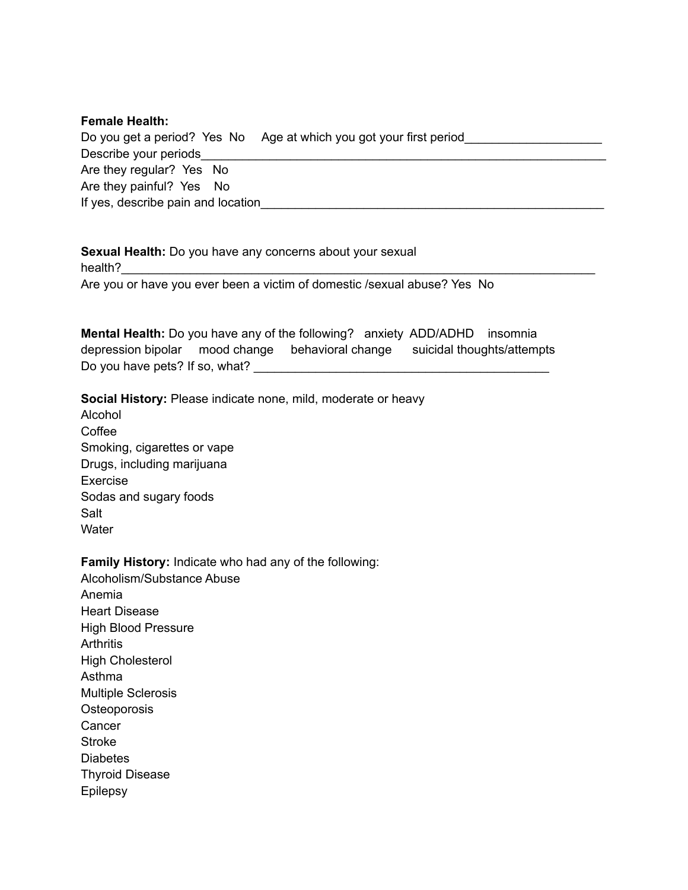## **Female Health:**

|                                    | Do you get a period? Yes No Age at which you got your first period |
|------------------------------------|--------------------------------------------------------------------|
| Describe your periods              |                                                                    |
| Are they regular? Yes No           |                                                                    |
| Are they painful? Yes No           |                                                                    |
| If yes, describe pain and location |                                                                    |

**Sexual Health:** Do you have any concerns about your sexual health?\_\_\_\_\_\_\_\_\_\_\_\_\_\_\_\_\_\_\_\_\_\_\_\_\_\_\_\_\_\_\_\_\_\_\_\_\_\_\_\_\_\_\_\_\_\_\_\_\_\_\_\_\_\_\_\_\_\_\_\_\_\_\_\_\_\_\_\_\_ Are you or have you ever been a victim of domestic /sexual abuse? Yes No

**Mental Health:** Do you have any of the following? anxiety ADD/ADHD insomnia depression bipolar mood change behavioral change suicidal thoughts/attempts Do you have pets? If so, what?

**Social History:** Please indicate none, mild, moderate or heavy

Alcohol Coffee Smoking, cigarettes or vape Drugs, including marijuana Exercise Sodas and sugary foods Salt **Water** 

**Family History:** Indicate who had any of the following: Alcoholism/Substance Abuse Anemia Heart Disease High Blood Pressure **Arthritis** High Cholesterol Asthma Multiple Sclerosis **Osteoporosis Cancer** Stroke **Diabetes** Thyroid Disease **Epilepsy**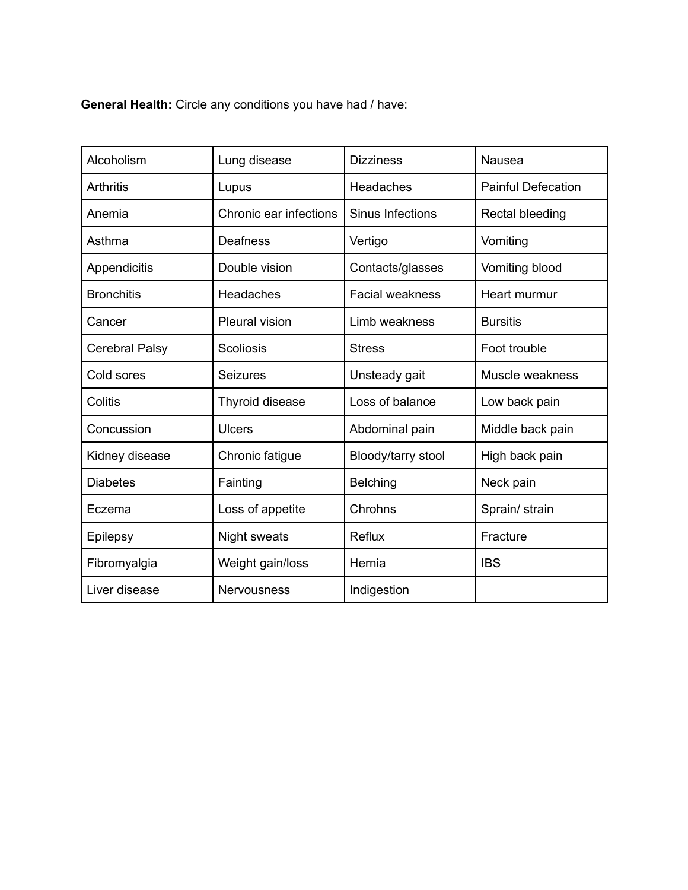**General Health:** Circle any conditions you have had / have:

| Alcoholism            | Lung disease           | <b>Dizziness</b>       | Nausea                    |
|-----------------------|------------------------|------------------------|---------------------------|
| <b>Arthritis</b>      | Lupus                  | Headaches              | <b>Painful Defecation</b> |
| Anemia                | Chronic ear infections | Sinus Infections       | Rectal bleeding           |
| Asthma                | <b>Deafness</b>        | Vertigo                | Vomiting                  |
| Appendicitis          | Double vision          | Contacts/glasses       | Vomiting blood            |
| <b>Bronchitis</b>     | Headaches              | <b>Facial weakness</b> | Heart murmur              |
| Cancer                | Pleural vision         | Limb weakness          | <b>Bursitis</b>           |
| <b>Cerebral Palsy</b> | <b>Scoliosis</b>       | <b>Stress</b>          | Foot trouble              |
| Cold sores            | <b>Seizures</b>        | Unsteady gait          | Muscle weakness           |
| Colitis               | Thyroid disease        | Loss of balance        | Low back pain             |
| Concussion            | <b>Ulcers</b>          | Abdominal pain         | Middle back pain          |
| Kidney disease        | Chronic fatigue        | Bloody/tarry stool     | High back pain            |
| <b>Diabetes</b>       | Fainting               | <b>Belching</b>        | Neck pain                 |
| Eczema                | Loss of appetite       | Chrohns                | Sprain/ strain            |
| <b>Epilepsy</b>       | Night sweats           | Reflux                 | Fracture                  |
| Fibromyalgia          | Weight gain/loss       | Hernia                 | <b>IBS</b>                |
| Liver disease         | <b>Nervousness</b>     | Indigestion            |                           |